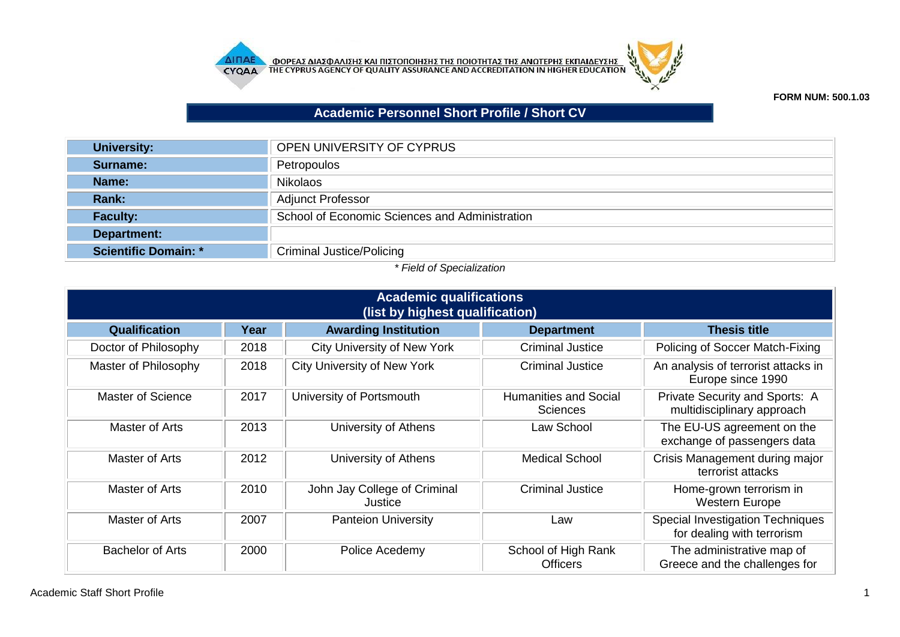



**FORM NUM: 500.1.03**

## **Academic Personnel Short Profile / Short CV**

| <b>University:</b>          | OPEN UNIVERSITY OF CYPRUS                      |
|-----------------------------|------------------------------------------------|
| Surname:                    | Petropoulos                                    |
| Name:                       | <b>Nikolaos</b>                                |
| <b>Rank:</b>                | <b>Adjunct Professor</b>                       |
| <b>Faculty:</b>             | School of Economic Sciences and Administration |
| Department:                 |                                                |
| <b>Scientific Domain: *</b> | <b>Criminal Justice/Policing</b>               |

## *\* Field of Specialization*

| <b>Academic qualifications</b><br>(list by highest qualification) |      |                                         |                                                 |                                                                       |  |  |
|-------------------------------------------------------------------|------|-----------------------------------------|-------------------------------------------------|-----------------------------------------------------------------------|--|--|
| Qualification                                                     | Year | <b>Awarding Institution</b>             | <b>Department</b>                               | <b>Thesis title</b>                                                   |  |  |
| Doctor of Philosophy                                              | 2018 | <b>City University of New York</b>      | <b>Criminal Justice</b>                         | Policing of Soccer Match-Fixing                                       |  |  |
| Master of Philosophy                                              | 2018 | <b>City University of New York</b>      | <b>Criminal Justice</b>                         | An analysis of terrorist attacks in<br>Europe since 1990              |  |  |
| Master of Science                                                 | 2017 | University of Portsmouth                | <b>Humanities and Social</b><br><b>Sciences</b> | Private Security and Sports: A<br>multidisciplinary approach          |  |  |
| Master of Arts                                                    | 2013 | University of Athens                    | Law School                                      | The EU-US agreement on the<br>exchange of passengers data             |  |  |
| Master of Arts                                                    | 2012 | University of Athens                    | <b>Medical School</b>                           | Crisis Management during major<br>terrorist attacks                   |  |  |
| Master of Arts                                                    | 2010 | John Jay College of Criminal<br>Justice | <b>Criminal Justice</b>                         | Home-grown terrorism in<br><b>Western Europe</b>                      |  |  |
| Master of Arts                                                    | 2007 | <b>Panteion University</b>              | Law                                             | <b>Special Investigation Techniques</b><br>for dealing with terrorism |  |  |
| <b>Bachelor of Arts</b>                                           | 2000 | Police Acedemy                          | School of High Rank<br><b>Officers</b>          | The administrative map of<br>Greece and the challenges for            |  |  |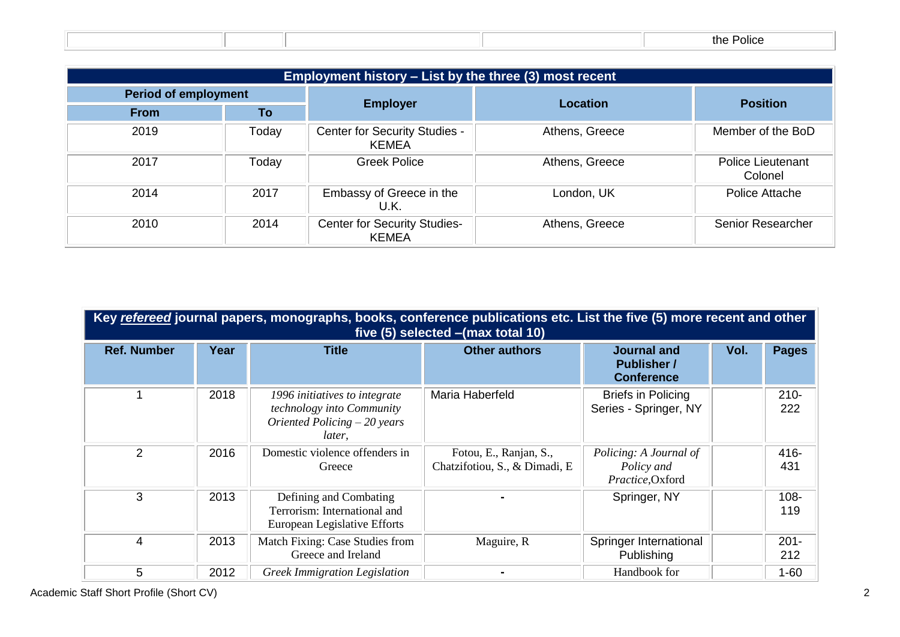|  |  | the<br>the Police |
|--|--|-------------------|

| Employment history - List by the three (3) most recent |                             |                                               |                |                                     |  |
|--------------------------------------------------------|-----------------------------|-----------------------------------------------|----------------|-------------------------------------|--|
|                                                        | <b>Period of employment</b> |                                               | Location       | <b>Position</b>                     |  |
| <b>From</b>                                            | To                          | <b>Employer</b>                               |                |                                     |  |
| 2019                                                   | Today                       | Center for Security Studies -<br><b>KEMEA</b> | Athens, Greece | Member of the BoD                   |  |
| 2017                                                   | Today                       | <b>Greek Police</b>                           | Athens, Greece | <b>Police Lieutenant</b><br>Colonel |  |
| 2014                                                   | 2017                        | Embassy of Greece in the<br>U.K.              | London, UK     | Police Attache                      |  |
| 2010                                                   | 2014                        | <b>Center for Security Studies-</b><br>KEMEA  | Athens, Greece | Senior Researcher                   |  |

| Key refereed journal papers, monographs, books, conference publications etc. List the five (5) more recent and other<br>five (5) selected - (max total 10) |      |                                                                                                       |                                                         |                                                               |      |                |
|------------------------------------------------------------------------------------------------------------------------------------------------------------|------|-------------------------------------------------------------------------------------------------------|---------------------------------------------------------|---------------------------------------------------------------|------|----------------|
| <b>Ref. Number</b>                                                                                                                                         | Year | <b>Title</b>                                                                                          | <b>Other authors</b>                                    | <b>Journal and</b><br><b>Publisher /</b><br><b>Conference</b> | Vol. | <b>Pages</b>   |
|                                                                                                                                                            | 2018 | 1996 initiatives to integrate<br>technology into Community<br>Oriented Policing $-20$ years<br>later. | Maria Haberfeld                                         | <b>Briefs in Policing</b><br>Series - Springer, NY            |      | $210 -$<br>222 |
| 2                                                                                                                                                          | 2016 | Domestic violence offenders in<br>Greece                                                              | Fotou, E., Ranjan, S.,<br>Chatzifotiou, S., & Dimadi, E | Policing: A Journal of<br>Policy and<br>Practice, Oxford      |      | 416-<br>431    |
| 3                                                                                                                                                          | 2013 | Defining and Combating<br>Terrorism: International and<br>European Legislative Efforts                |                                                         | Springer, NY                                                  |      | $108 -$<br>119 |
| 4                                                                                                                                                          | 2013 | Match Fixing: Case Studies from<br>Greece and Ireland                                                 | Maguire, R                                              | Springer International<br>Publishing                          |      | $201 -$<br>212 |
| 5                                                                                                                                                          | 2012 | <b>Greek Immigration Legislation</b>                                                                  |                                                         | Handbook for                                                  |      | $1 - 60$       |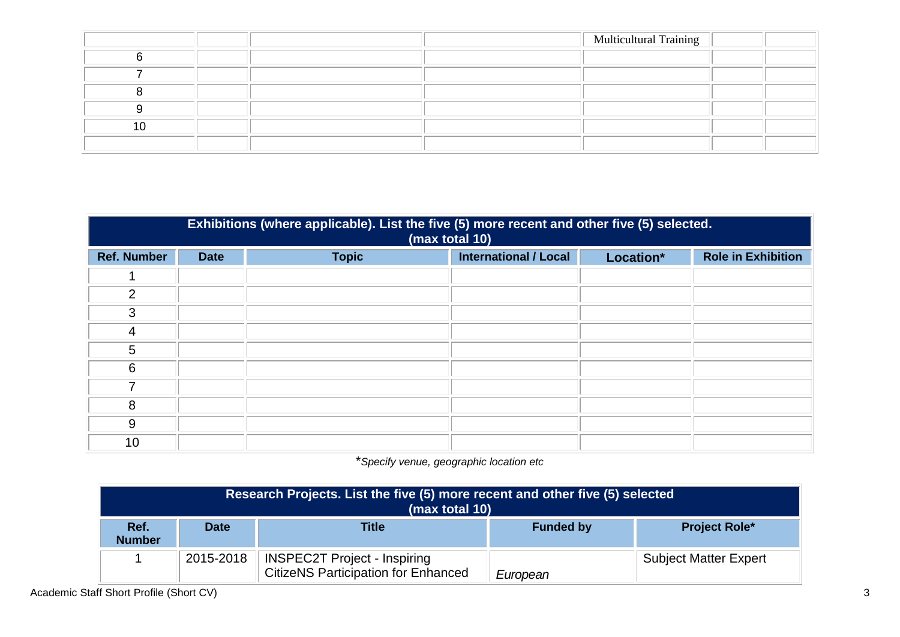|  |  | <b>Multicultural Training</b> |  |
|--|--|-------------------------------|--|
|  |  |                               |  |
|  |  |                               |  |
|  |  |                               |  |
|  |  |                               |  |
|  |  |                               |  |
|  |  |                               |  |

| Exhibitions (where applicable). List the five (5) more recent and other five (5) selected.<br>(max total 10) |             |              |                              |           |                           |  |
|--------------------------------------------------------------------------------------------------------------|-------------|--------------|------------------------------|-----------|---------------------------|--|
| <b>Ref. Number</b>                                                                                           | <b>Date</b> | <b>Topic</b> | <b>International / Local</b> | Location* | <b>Role in Exhibition</b> |  |
|                                                                                                              |             |              |                              |           |                           |  |
| $\overline{2}$                                                                                               |             |              |                              |           |                           |  |
| 3                                                                                                            |             |              |                              |           |                           |  |
| 4                                                                                                            |             |              |                              |           |                           |  |
| 5                                                                                                            |             |              |                              |           |                           |  |
| 6                                                                                                            |             |              |                              |           |                           |  |
| 7                                                                                                            |             |              |                              |           |                           |  |
| 8                                                                                                            |             |              |                              |           |                           |  |
| 9                                                                                                            |             |              |                              |           |                           |  |
| 10                                                                                                           |             |              |                              |           |                           |  |

\**Specify venue, geographic location etc*

| Research Projects. List the five (5) more recent and other five (5) selected<br>(max total 10) |             |                                                                                   |                  |                              |  |
|------------------------------------------------------------------------------------------------|-------------|-----------------------------------------------------------------------------------|------------------|------------------------------|--|
| Ref.<br><b>Number</b>                                                                          | <b>Date</b> | Title                                                                             | <b>Funded by</b> | <b>Project Role*</b>         |  |
|                                                                                                | 2015-2018   | <b>INSPEC2T Project - Inspiring</b><br><b>CitizeNS Participation for Enhanced</b> | European         | <b>Subject Matter Expert</b> |  |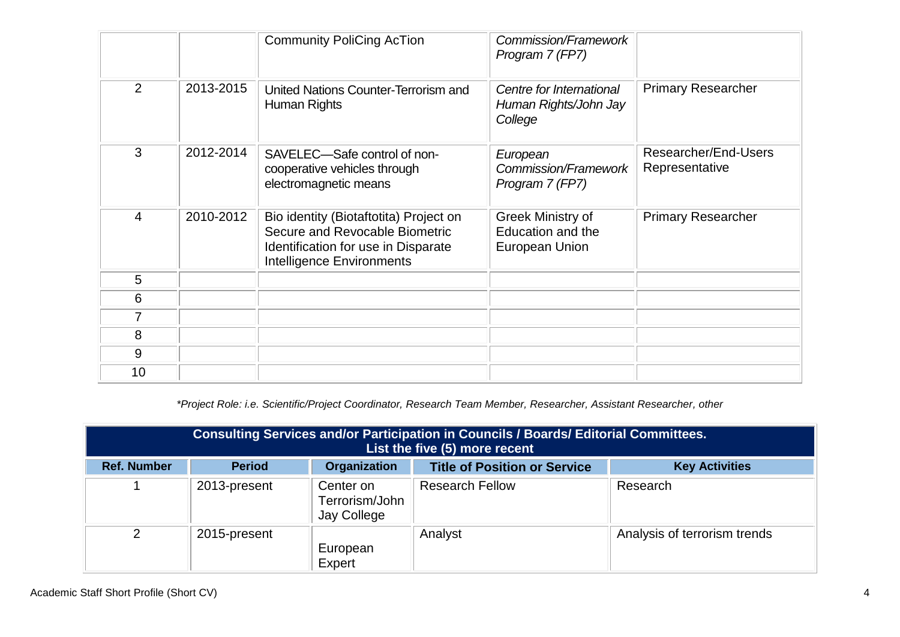|                |           | <b>Community PoliCing AcTion</b>                                                                                                                    | Commission/Framework<br>Program 7 (FP7)                      |                                        |
|----------------|-----------|-----------------------------------------------------------------------------------------------------------------------------------------------------|--------------------------------------------------------------|----------------------------------------|
| $\overline{2}$ | 2013-2015 | United Nations Counter-Terrorism and<br>Human Rights                                                                                                | Centre for International<br>Human Rights/John Jay<br>College | <b>Primary Researcher</b>              |
| 3              | 2012-2014 | SAVELEC-Safe control of non-<br>cooperative vehicles through<br>electromagnetic means                                                               | European<br>Commission/Framework<br>Program 7 (FP7)          | Researcher/End-Users<br>Representative |
| 4              | 2010-2012 | Bio identity (Biotaftotita) Project on<br>Secure and Revocable Biometric<br>Identification for use in Disparate<br><b>Intelligence Environments</b> | Greek Ministry of<br>Education and the<br>European Union     | <b>Primary Researcher</b>              |
| 5              |           |                                                                                                                                                     |                                                              |                                        |
| 6              |           |                                                                                                                                                     |                                                              |                                        |
| 7              |           |                                                                                                                                                     |                                                              |                                        |
| 8              |           |                                                                                                                                                     |                                                              |                                        |
| 9              |           |                                                                                                                                                     |                                                              |                                        |
| 10             |           |                                                                                                                                                     |                                                              |                                        |

*\*Project Role: i.e. Scientific/Project Coordinator, Research Team Member, Researcher, Assistant Researcher, other*

| Consulting Services and/or Participation in Councils / Boards/ Editorial Committees.<br>List the five (5) more recent |               |                                            |                                     |                              |  |
|-----------------------------------------------------------------------------------------------------------------------|---------------|--------------------------------------------|-------------------------------------|------------------------------|--|
| <b>Ref. Number</b>                                                                                                    | <b>Period</b> | <b>Organization</b>                        | <b>Title of Position or Service</b> | <b>Key Activities</b>        |  |
|                                                                                                                       | 2013-present  | Center on<br>Terrorism/John<br>Jay College | <b>Research Fellow</b>              | Research                     |  |
| 2                                                                                                                     | 2015-present  | European<br>Expert                         | Analyst                             | Analysis of terrorism trends |  |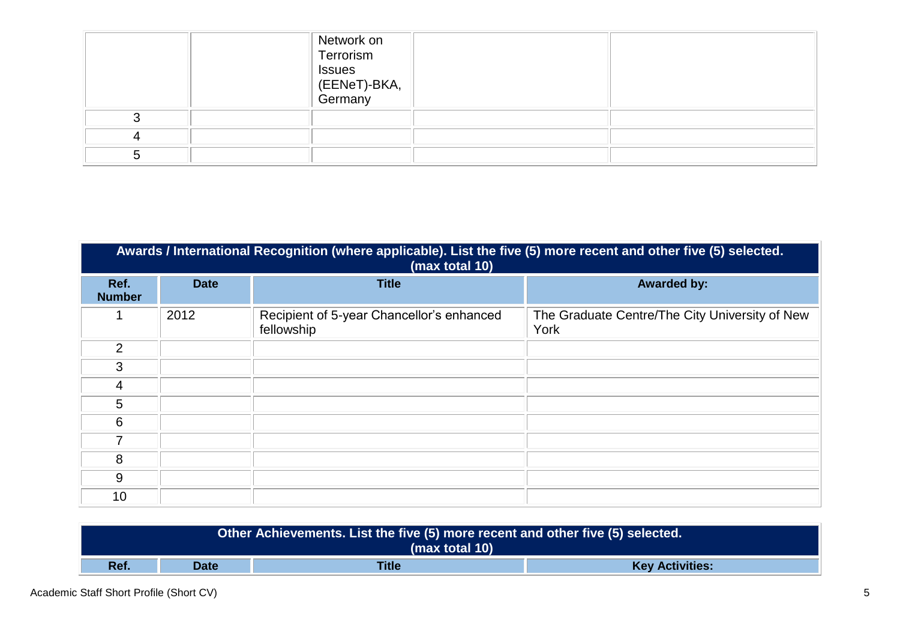|  | Network on<br>Terrorism<br><b>Issues</b><br>EBRIT)-BKA,<br>Germany |  |
|--|--------------------------------------------------------------------|--|
|  |                                                                    |  |
|  |                                                                    |  |
|  |                                                                    |  |

|                       | Awards / International Recognition (where applicable). List the five (5) more recent and other five (5) selected.<br>(max total 10) |                                                         |                                                        |  |  |  |  |  |
|-----------------------|-------------------------------------------------------------------------------------------------------------------------------------|---------------------------------------------------------|--------------------------------------------------------|--|--|--|--|--|
| Ref.<br><b>Number</b> | <b>Date</b>                                                                                                                         | <b>Title</b>                                            | <b>Awarded by:</b>                                     |  |  |  |  |  |
|                       | 2012                                                                                                                                | Recipient of 5-year Chancellor's enhanced<br>fellowship | The Graduate Centre/The City University of New<br>York |  |  |  |  |  |
| 2                     |                                                                                                                                     |                                                         |                                                        |  |  |  |  |  |
| 3                     |                                                                                                                                     |                                                         |                                                        |  |  |  |  |  |
| 4                     |                                                                                                                                     |                                                         |                                                        |  |  |  |  |  |
| 5                     |                                                                                                                                     |                                                         |                                                        |  |  |  |  |  |
| 6                     |                                                                                                                                     |                                                         |                                                        |  |  |  |  |  |
|                       |                                                                                                                                     |                                                         |                                                        |  |  |  |  |  |
| 8                     |                                                                                                                                     |                                                         |                                                        |  |  |  |  |  |
| 9                     |                                                                                                                                     |                                                         |                                                        |  |  |  |  |  |
| 10                    |                                                                                                                                     |                                                         |                                                        |  |  |  |  |  |

| Other Achievements. List the five (5) more recent and other five (5) selected.<br>(max total 10) |      |              |                        |  |
|--------------------------------------------------------------------------------------------------|------|--------------|------------------------|--|
| Ref.                                                                                             | Date | <b>Title</b> | <b>Key Activities:</b> |  |